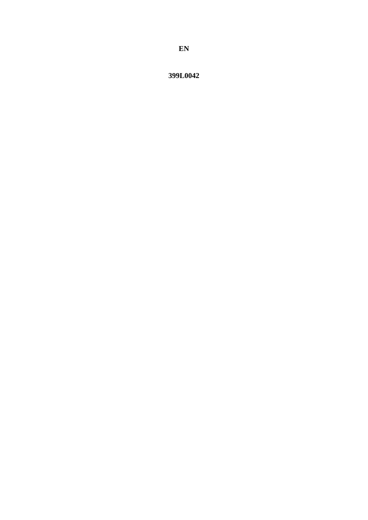399L0042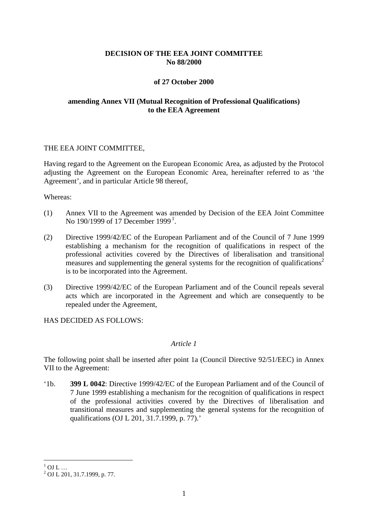## **DECISION OF THE EEA JOINT COMMITTEE No 88/2000**

## **of 27 October 2000**

# **amending Annex VII (Mutual Recognition of Professional Qualifications) to the EEA Agreement**

#### THE EEA JOINT COMMITTEE,

Having regard to the Agreement on the European Economic Area, as adjusted by the Protocol adjusting the Agreement on the European Economic Area, hereinafter referred to as 'the Agreement', and in particular Article 98 thereof,

Whereas:

- (1) Annex VII to the Agreement was amended by Decision of the EEA Joint Committee No [1](#page-1-0)90/1999 of 17 December 1999<sup>1</sup>.
- (2) Directive 1999/42/EC of the European Parliament and of the Council of 7 June 1999 establishing a mechanism for the recognition of qualifications in respect of the professional activities covered by the Directives of liberalisation and transitional measures and supplementing the general systems for the recognition of qualifications<sup>2</sup> is to be incorporated into the Agreement.
- (3) Directive 1999/42/EC of the European Parliament and of the Council repeals several acts which are incorporated in the Agreement and which are consequently to be repealed under the Agreement,

HAS DECIDED AS FOLLOWS:

#### *Article 1*

The following point shall be inserted after point 1a (Council Directive 92/51/EEC) in Annex VII to the Agreement:

'1b. **399 L 0042**: Directive 1999/42/EC of the European Parliament and of the Council of 7 June 1999 establishing a mechanism for the recognition of qualifications in respect of the professional activities covered by the Directives of liberalisation and transitional measures and supplementing the general systems for the recognition of qualifications (OJ L 201, 31.7.1999, p. 77).'

<span id="page-1-0"></span> $1 \over 2$  OJ L ...<br> $2 \over 2$  OJ L 201, 31.7.1999, p. 77.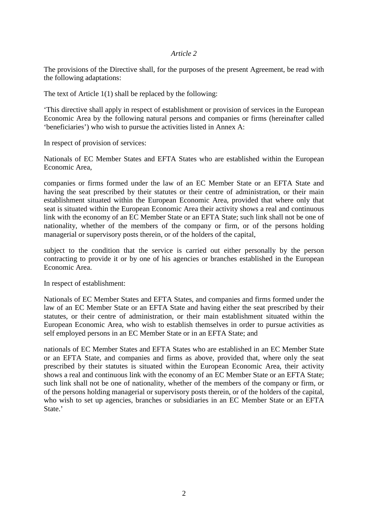The provisions of the Directive shall, for the purposes of the present Agreement, be read with the following adaptations:

The text of Article 1(1) shall be replaced by the following:

'This directive shall apply in respect of establishment or provision of services in the European Economic Area by the following natural persons and companies or firms (hereinafter called 'beneficiaries') who wish to pursue the activities listed in Annex A:

In respect of provision of services:

Nationals of EC Member States and EFTA States who are established within the European Economic Area,

companies or firms formed under the law of an EC Member State or an EFTA State and having the seat prescribed by their statutes or their centre of administration, or their main establishment situated within the European Economic Area, provided that where only that seat is situated within the European Economic Area their activity shows a real and continuous link with the economy of an EC Member State or an EFTA State; such link shall not be one of nationality, whether of the members of the company or firm, or of the persons holding managerial or supervisory posts therein, or of the holders of the capital,

subject to the condition that the service is carried out either personally by the person contracting to provide it or by one of his agencies or branches established in the European Economic Area.

In respect of establishment:

Nationals of EC Member States and EFTA States, and companies and firms formed under the law of an EC Member State or an EFTA State and having either the seat prescribed by their statutes, or their centre of administration, or their main establishment situated within the European Economic Area, who wish to establish themselves in order to pursue activities as self employed persons in an EC Member State or in an EFTA State; and

nationals of EC Member States and EFTA States who are established in an EC Member State or an EFTA State, and companies and firms as above, provided that, where only the seat prescribed by their statutes is situated within the European Economic Area, their activity shows a real and continuous link with the economy of an EC Member State or an EFTA State; such link shall not be one of nationality, whether of the members of the company or firm, or of the persons holding managerial or supervisory posts therein, or of the holders of the capital, who wish to set up agencies, branches or subsidiaries in an EC Member State or an EFTA State.'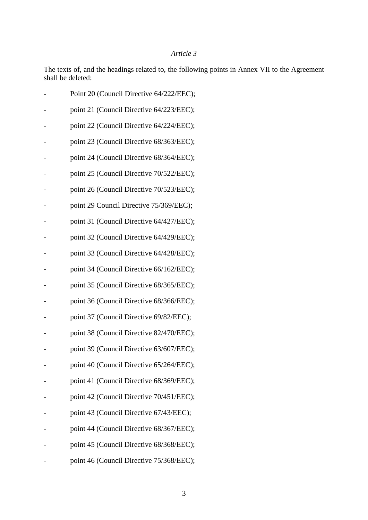The texts of, and the headings related to, the following points in Annex VII to the Agreement shall be deleted:

| Point 20 (Council Directive 64/222/EEC); |
|------------------------------------------|
| point 21 (Council Directive 64/223/EEC); |
| point 22 (Council Directive 64/224/EEC); |
| point 23 (Council Directive 68/363/EEC); |
| point 24 (Council Directive 68/364/EEC); |
| point 25 (Council Directive 70/522/EEC); |
| point 26 (Council Directive 70/523/EEC); |
| point 29 Council Directive 75/369/EEC);  |
| point 31 (Council Directive 64/427/EEC); |
| point 32 (Council Directive 64/429/EEC); |
| point 33 (Council Directive 64/428/EEC); |
| point 34 (Council Directive 66/162/EEC); |
| point 35 (Council Directive 68/365/EEC); |
| point 36 (Council Directive 68/366/EEC); |
| point 37 (Council Directive 69/82/EEC);  |
| point 38 (Council Directive 82/470/EEC); |
| point 39 (Council Directive 63/607/EEC); |
| point 40 (Council Directive 65/264/EEC); |
| point 41 (Council Directive 68/369/EEC); |
| point 42 (Council Directive 70/451/EEC); |
| point 43 (Council Directive 67/43/EEC);  |
| point 44 (Council Directive 68/367/EEC); |
| point 45 (Council Directive 68/368/EEC); |
| point 46 (Council Directive 75/368/EEC); |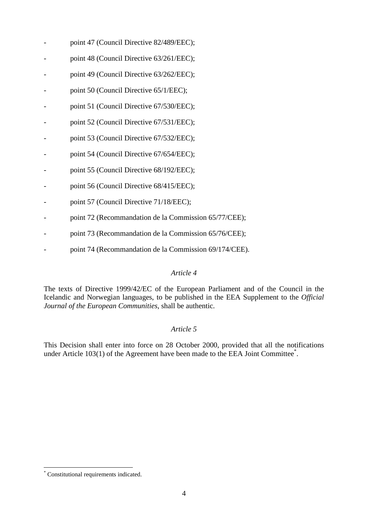- point 47 (Council Directive 82/489/EEC);
- point 48 (Council Directive 63/261/EEC);
- point 49 (Council Directive 63/262/EEC);
- point 50 (Council Directive 65/1/EEC);
- point 51 (Council Directive 67/530/EEC);
- point 52 (Council Directive 67/531/EEC);
- point 53 (Council Directive 67/532/EEC);
- point 54 (Council Directive 67/654/EEC);
- point 55 (Council Directive 68/192/EEC);
- point 56 (Council Directive 68/415/EEC);
- point 57 (Council Directive 71/18/EEC);
- point 72 (Recommandation de la Commission 65/77/CEE);
- point 73 (Recommandation de la Commission 65/76/CEE);
- point 74 (Recommandation de la Commission 69/174/CEE).

The texts of Directive 1999/42/EC of the European Parliament and of the Council in the Icelandic and Norwegian languages, to be published in the EEA Supplement to the *Official Journal of the European Communities*, shall be authentic.

# *Article 5*

This Decision shall enter into force on 28 October 2000, provided that all the notifications under Article 103(1) of the Agreement have been made to the EEA Joint Committee<sup>\*</sup>.

 <sup>\*</sup> Constitutional requirements indicated.